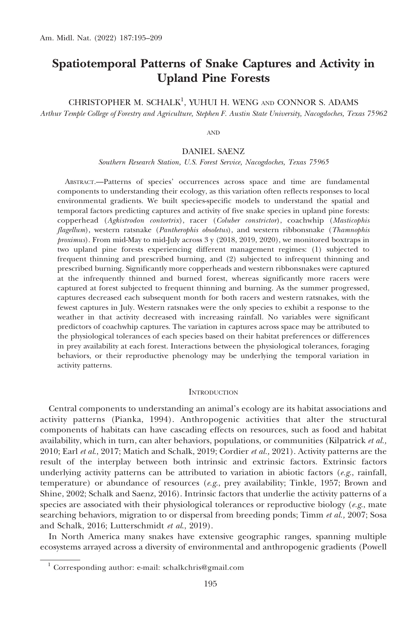# Spatiotemporal Patterns of Snake Captures and Activity in Upland Pine Forests

CHRISTOPHER M. SCHALK<sup>1</sup>, YUHUI H. WENG AND CONNOR S. ADAMS

Arthur Temple College of Forestry and Agriculture, Stephen F. Austin State University, Nacogdoches, Texas 75962

AND

DANIEL SAENZ

Southern Research Station, U.S. Forest Service, Nacogdoches, Texas 75965

ABSTRACT.—Patterns of species' occurrences across space and time are fundamental components to understanding their ecology, as this variation often reflects responses to local environmental gradients. We built species-specific models to understand the spatial and temporal factors predicting captures and activity of five snake species in upland pine forests: copperhead (Agkistrodon contortrix), racer (Coluber constrictor), coachwhip (Masticophis flagellum), western ratsnake (Pantherophis obsoletus), and western ribbonsnake (Thamnophis proximus). From mid-May to mid-July across 3 y (2018, 2019, 2020), we monitored boxtraps in two upland pine forests experiencing different management regimes: (1) subjected to frequent thinning and prescribed burning, and (2) subjected to infrequent thinning and prescribed burning. Significantly more copperheads and western ribbonsnakes were captured at the infrequently thinned and burned forest, whereas significantly more racers were captured at forest subjected to frequent thinning and burning. As the summer progressed, captures decreased each subsequent month for both racers and western ratsnakes, with the fewest captures in July. Western ratsnakes were the only species to exhibit a response to the weather in that activity decreased with increasing rainfall. No variables were significant predictors of coachwhip captures. The variation in captures across space may be attributed to the physiological tolerances of each species based on their habitat preferences or differences in prey availability at each forest. Interactions between the physiological tolerances, foraging behaviors, or their reproductive phenology may be underlying the temporal variation in activity patterns.

# **INTRODUCTION**

Central components to understanding an animal's ecology are its habitat associations and activity patterns (Pianka, 1994). Anthropogenic activities that alter the structural components of habitats can have cascading effects on resources, such as food and habitat availability, which in turn, can alter behaviors, populations, or communities (Kilpatrick et al., 2010; Earl et al., 2017; Matich and Schalk, 2019; Cordier et al., 2021). Activity patterns are the result of the interplay between both intrinsic and extrinsic factors. Extrinsic factors underlying activity patterns can be attributed to variation in abiotic factors (e.g., rainfall, temperature) or abundance of resources  $(e.g.,$  prey availability; Tinkle, 1957; Brown and Shine, 2002; Schalk and Saenz, 2016). Intrinsic factors that underlie the activity patterns of a species are associated with their physiological tolerances or reproductive biology ( $e.g.,$  mate searching behaviors, migration to or dispersal from breeding ponds; Timm et al., 2007; Sosa and Schalk, 2016; Lutterschmidt et al., 2019).

In North America many snakes have extensive geographic ranges, spanning multiple ecosystems arrayed across a diversity of environmental and anthropogenic gradients (Powell

<sup>1</sup> Corresponding author: e-mail: schalkchris@gmail.com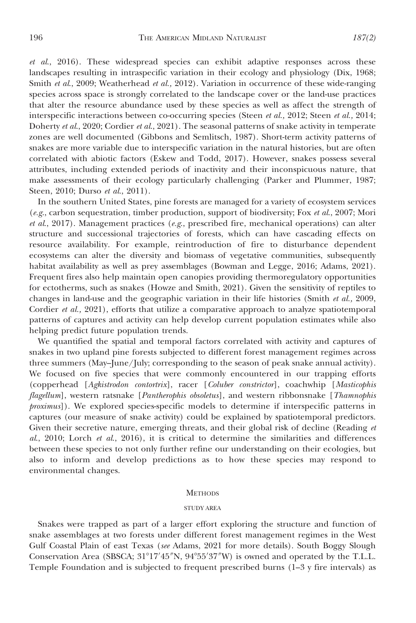et al., 2016). These widespread species can exhibit adaptive responses across these landscapes resulting in intraspecific variation in their ecology and physiology (Dix, 1968; Smith et al., 2009; Weatherhead et al., 2012). Variation in occurrence of these wide-ranging species across space is strongly correlated to the landscape cover or the land-use practices that alter the resource abundance used by these species as well as affect the strength of interspecific interactions between co-occurring species (Steen et al., 2012; Steen et al., 2014; Doherty et al., 2020; Cordier et al., 2021). The seasonal patterns of snake activity in temperate zones are well documented (Gibbons and Semlitsch, 1987). Short-term activity patterns of snakes are more variable due to interspecific variation in the natural histories, but are often correlated with abiotic factors (Eskew and Todd, 2017). However, snakes possess several attributes, including extended periods of inactivity and their inconspicuous nature, that make assessments of their ecology particularly challenging (Parker and Plummer, 1987; Steen, 2010; Durso et al., 2011).

In the southern United States, pine forests are managed for a variety of ecosystem services  $(e.g.,$  carbon sequestration, timber production, support of biodiversity; Fox et al., 2007; Mori et al., 2017). Management practices (e.g., prescribed fire, mechanical operations) can alter structure and successional trajectories of forests, which can have cascading effects on resource availability. For example, reintroduction of fire to disturbance dependent ecosystems can alter the diversity and biomass of vegetative communities, subsequently habitat availability as well as prey assemblages (Bowman and Legge, 2016; Adams, 2021). Frequent fires also help maintain open canopies providing thermoregulatory opportunities for ectotherms, such as snakes (Howze and Smith, 2021). Given the sensitivity of reptiles to changes in land-use and the geographic variation in their life histories (Smith et al., 2009, Cordier et al., 2021), efforts that utilize a comparative approach to analyze spatiotemporal patterns of captures and activity can help develop current population estimates while also helping predict future population trends.

We quantified the spatial and temporal factors correlated with activity and captures of snakes in two upland pine forests subjected to different forest management regimes across three summers (May–June/July; corresponding to the season of peak snake annual activity). We focused on five species that were commonly encountered in our trapping efforts (copperhead [Agkistrodon contortrix], racer [Coluber constrictor], coachwhip [Masticophis flagellum], western ratsnake [Pantherophis obsoletus], and western ribbonsnake [Thamnophis proximus]). We explored species-specific models to determine if interspecific patterns in captures (our measure of snake activity) could be explained by spatiotemporal predictors. Given their secretive nature, emerging threats, and their global risk of decline (Reading et  $al$ , 2010; Lorch et  $al$ , 2016), it is critical to determine the similarities and differences between these species to not only further refine our understanding on their ecologies, but also to inform and develop predictions as to how these species may respond to environmental changes.

## **METHODS**

# STUDY AREA

Snakes were trapped as part of a larger effort exploring the structure and function of snake assemblages at two forests under different forest management regimes in the West Gulf Coastal Plain of east Texas (see Adams, 2021 for more details). South Boggy Slough Conservation Area (SBSCA;  $31^{\circ}17'45''N$ ,  $94^{\circ}55'37''W$ ) is owned and operated by the T.L.L. Temple Foundation and is subjected to frequent prescribed burns (1–3 y fire intervals) as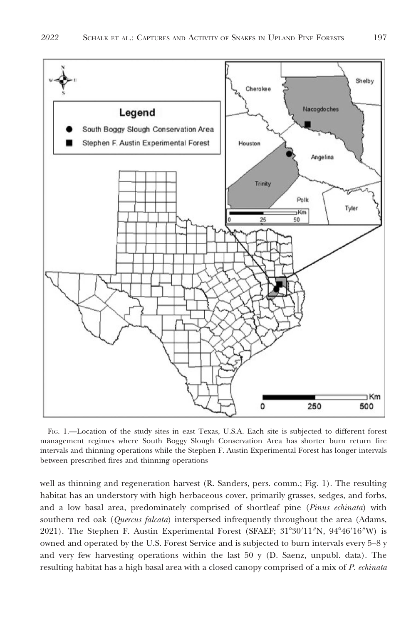

FIG. 1.—Location of the study sites in east Texas, U.S.A. Each site is subjected to different forest management regimes where South Boggy Slough Conservation Area has shorter burn return fire intervals and thinning operations while the Stephen F. Austin Experimental Forest has longer intervals between prescribed fires and thinning operations

well as thinning and regeneration harvest (R. Sanders, pers. comm.; Fig. 1). The resulting habitat has an understory with high herbaceous cover, primarily grasses, sedges, and forbs, and a low basal area, predominately comprised of shortleaf pine (Pinus echinata) with southern red oak (Quercus falcata) interspersed infrequently throughout the area (Adams, 2021). The Stephen F. Austin Experimental Forest (SFAEF; 31°30′11″N, 94°46′16″W) is owned and operated by the U.S. Forest Service and is subjected to burn intervals every 5–8 y and very few harvesting operations within the last 50 y (D. Saenz, unpubl. data). The resulting habitat has a high basal area with a closed canopy comprised of a mix of P. echinata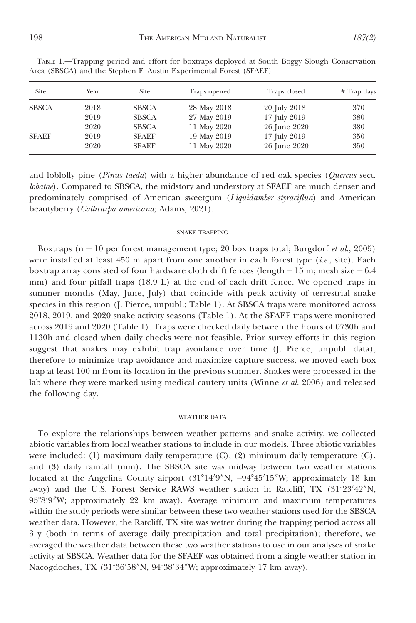| Site         | Year | Site         | Traps opened | Traps closed | # Trap days |
|--------------|------|--------------|--------------|--------------|-------------|
| <b>SBSCA</b> | 2018 | <b>SBSCA</b> | 28 May 2018  | 20 July 2018 | 370         |
|              | 2019 | <b>SBSCA</b> | 27 May 2019  | 17 July 2019 | 380         |
|              | 2020 | <b>SBSCA</b> | 11 May 2020  | 26 June 2020 | 380         |
| <b>SFAEF</b> | 2019 | <b>SFAEF</b> | 19 May 2019  | 17 July 2019 | 350         |
|              | 2020 | <b>SFAEF</b> | 11 May 2020  | 26 June 2020 | 350         |

TABLE 1.—Trapping period and effort for boxtraps deployed at South Boggy Slough Conservation Area (SBSCA) and the Stephen F. Austin Experimental Forest (SFAEF)

and loblolly pine (Pinus taeda) with a higher abundance of red oak species (Quercus sect. lobatae). Compared to SBSCA, the midstory and understory at SFAEF are much denser and predominately comprised of American sweetgum (Liquidamber styraciflua) and American beautyberry (Callicarpa americana; Adams, 2021).

## SNAKE TRAPPING

Boxtraps ( $n = 10$  per forest management type; 20 box traps total; Burgdorf *et al.*, 2005) were installed at least  $450$  m apart from one another in each forest type (*i.e.*, site). Each boxtrap array consisted of four hardware cloth drift fences (length =  $15$  m; mesh size =  $6.4$ mm) and four pitfall traps (18.9 L) at the end of each drift fence. We opened traps in summer months (May, June, July) that coincide with peak activity of terrestrial snake species in this region (J. Pierce, unpubl.; Table 1). At SBSCA traps were monitored across 2018, 2019, and 2020 snake activity seasons (Table 1). At the SFAEF traps were monitored across 2019 and 2020 (Table 1). Traps were checked daily between the hours of 0730h and 1130h and closed when daily checks were not feasible. Prior survey efforts in this region suggest that snakes may exhibit trap avoidance over time (J. Pierce, unpubl. data), therefore to minimize trap avoidance and maximize capture success, we moved each box trap at least 100 m from its location in the previous summer. Snakes were processed in the lab where they were marked using medical cautery units (Winne et al. 2006) and released the following day.

# WEATHER DATA

To explore the relationships between weather patterns and snake activity, we collected abiotic variables from local weather stations to include in our models. Three abiotic variables were included: (1) maximum daily temperature (C), (2) minimum daily temperature (C), and (3) daily rainfall (mm). The SBSCA site was midway between two weather stations located at the Angelina County airport (31°14′9″N, -94°45′15″W; approximately 18 km away) and the U.S. Forest Service RAWS weather station in Ratcliff, TX (31°23′42″N, 95°8′9″W; approximately 22 km away). Average minimum and maximum temperatures within the study periods were similar between these two weather stations used for the SBSCA weather data. However, the Ratcliff, TX site was wetter during the trapping period across all 3 y (both in terms of average daily precipitation and total precipitation); therefore, we averaged the weather data between these two weather stations to use in our analyses of snake activity at SBSCA. Weather data for the SFAEF was obtained from a single weather station in Nacogdoches, TX (31°36′58″N, 94°38′34″W; approximately 17 km away).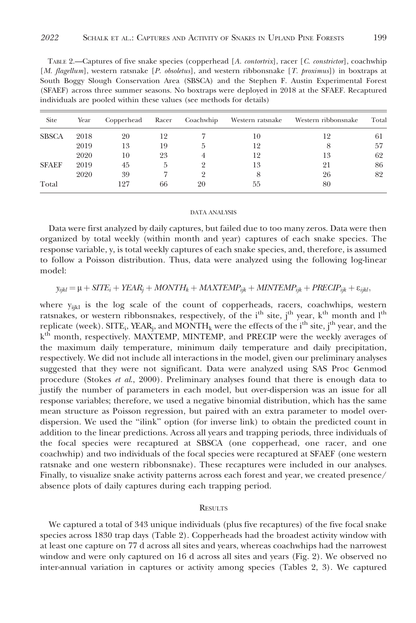| Site         | Year | Copperhead |    | Racer Coachwhip | Western ratsnake | Western ribbonsnake | Total |
|--------------|------|------------|----|-----------------|------------------|---------------------|-------|
| <b>SBSCA</b> | 2018 | 20         | 12 |                 | 10               | 12                  | 61    |
|              | 2019 | 13         | 19 |                 | 12               |                     | 57    |
|              | 2020 | 10         | 23 |                 | 12               | 13                  | 62    |
| <b>SFAEF</b> | 2019 | 45         | h  |                 | 13               | 21                  | 86    |
|              | 2020 | 39         |    |                 |                  | 26                  | 82    |
| Total        |      | 127        | 66 | 20              | 55               | 80                  |       |

TABLE 2.—Captures of five snake species (copperhead [A. contortrix], racer [C. constrictor], coachwhip [M. flagellum], western ratsnake [P. obsoletus], and western ribbonsnake [T. proximus]) in boxtraps at South Boggy Slough Conservation Area (SBSCA) and the Stephen F. Austin Experimental Forest (SFAEF) across three summer seasons. No boxtraps were deployed in 2018 at the SFAEF. Recaptured individuals are pooled within these values (see methods for details)

#### DATA ANALYSIS

Data were first analyzed by daily captures, but failed due to too many zeros. Data were then organized by total weekly (within month and year) captures of each snake species. The response variable, y, is total weekly captures of each snake species, and, therefore, is assumed to follow a Poisson distribution. Thus, data were analyzed using the following log-linear model:

$$
y_{ijkl} = \mu + SITE_i + YEAR_j + MONTH_k + MAXTEMP_{ijk} + MINTEMP_{ijk} + PRECIP_{ijk} + \varepsilon_{ijkl},
$$

where  $y_{ijkl}$  is the log scale of the count of copperheads, racers, coachwhips, western ratsnakes, or western ribbonsnakes, respectively, of the i<sup>th</sup> site, j<sup>th</sup> year, k<sup>th</sup> month and l<sup>th</sup> replicate (week). SITE<sub>i</sub>, YEAR<sub>i</sub>, and MONTH<sub>k</sub> were the effects of the i<sup>th</sup> site, j<sup>th</sup> year, and the k<sup>th</sup> month, respectively. MAXTEMP, MINTEMP, and PRECIP were the weekly averages of the maximum daily temperature, minimum daily temperature and daily precipitation, respectively. We did not include all interactions in the model, given our preliminary analyses suggested that they were not significant. Data were analyzed using SAS Proc Genmod procedure (Stokes *et al.*, 2000). Preliminary analyses found that there is enough data to justify the number of parameters in each model, but over-dispersion was an issue for all response variables; therefore, we used a negative binomial distribution, which has the same mean structure as Poisson regression, but paired with an extra parameter to model overdispersion. We used the ''ilink'' option (for inverse link) to obtain the predicted count in addition to the linear predictions. Across all years and trapping periods, three individuals of the focal species were recaptured at SBSCA (one copperhead, one racer, and one coachwhip) and two individuals of the focal species were recaptured at SFAEF (one western ratsnake and one western ribbonsnake). These recaptures were included in our analyses. Finally, to visualize snake activity patterns across each forest and year, we created presence/ absence plots of daily captures during each trapping period.

## **RESULTS**

We captured a total of 343 unique individuals (plus five recaptures) of the five focal snake species across 1830 trap days (Table 2). Copperheads had the broadest activity window with at least one capture on 77 d across all sites and years, whereas coachwhips had the narrowest window and were only captured on 16 d across all sites and years (Fig. 2). We observed no inter-annual variation in captures or activity among species (Tables 2, 3). We captured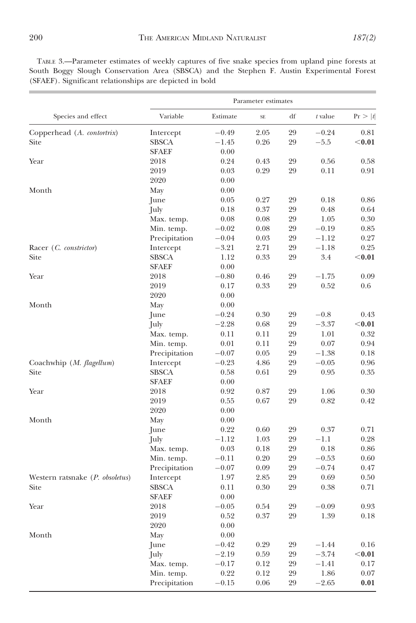TABLE 3.—Parameter estimates of weekly captures of five snake species from upland pine forests at South Boggy Slough Conservation Area (SBSCA) and the Stephen F. Austin Experimental Forest (SFAEF). Significant relationships are depicted in bold

|                                 | Parameter estimates |          |           |    |           |          |  |
|---------------------------------|---------------------|----------|-----------|----|-----------|----------|--|
| Species and effect              | Variable            | Estimate | <b>SE</b> | df | $t$ value | Pr >  t  |  |
| Copperhead (A. contortrix)      | Intercept           | $-0.49$  | 2.05      | 29 | $-0.24$   | 0.81     |  |
| Site                            | <b>SBSCA</b>        | $-1.45$  | 0.26      | 29 | $-5.5$    | $0.01$   |  |
|                                 | <b>SFAEF</b>        | 0.00     |           |    |           |          |  |
| Year                            | 2018                | 0.24     | 0.43      | 29 | 0.56      | 0.58     |  |
|                                 | 2019                | 0.03     | 0.29      | 29 | 0.11      | 0.91     |  |
|                                 | 2020                | 0.00     |           |    |           |          |  |
| Month                           | May                 | 0.00     |           |    |           |          |  |
|                                 | June                | 0.05     | 0.27      | 29 | 0.18      | 0.86     |  |
|                                 | July                | 0.18     | 0.37      | 29 | 0.48      | 0.64     |  |
|                                 | Max. temp.          | 0.08     | 0.08      | 29 | 1.05      | 0.30     |  |
|                                 | Min. temp.          | $-0.02$  | 0.08      | 29 | $-0.19$   | 0.85     |  |
|                                 | Precipitation       | $-0.04$  | 0.03      | 29 | $-1.12$   | 0.27     |  |
| Racer (C. constrictor)          | Intercept           | $-3.21$  | 2.71      | 29 | $-1.18$   | 0.25     |  |
| Site                            | <b>SBSCA</b>        | 1.12     | 0.33      | 29 | 3.4       | $0.01$   |  |
|                                 | <b>SFAEF</b>        | 0.00     |           |    |           |          |  |
| Year                            | 2018                | $-0.80$  | 0.46      | 29 | $-1.75$   | 0.09     |  |
|                                 | 2019                | 0.17     | 0.33      | 29 | 0.52      | 0.6      |  |
|                                 | 2020                | 0.00     |           |    |           |          |  |
| Month                           | May                 | 0.00     |           |    |           |          |  |
|                                 | June                | $-0.24$  | 0.30      | 29 | $-0.8$    | 0.43     |  |
|                                 | July                | $-2.28$  | 0.68      | 29 | $-3.37$   | $<$ 0.01 |  |
|                                 | Max. temp.          | 0.11     | 0.11      | 29 | 1.01      | 0.32     |  |
|                                 | Min. temp.          | 0.01     | 0.11      | 29 | 0.07      | 0.94     |  |
|                                 | Precipitation       | $-0.07$  | 0.05      | 29 | $-1.38$   | 0.18     |  |
| Coachwhip (M. flagellum)        | Intercept           | $-0.23$  | 4.86      | 29 | $-0.05$   | 0.96     |  |
| Site                            | SBSCA               | 0.58     | 0.61      | 29 | 0.95      | 0.35     |  |
|                                 | <b>SFAEF</b>        | 0.00     |           |    |           |          |  |
| Year                            | 2018                | 0.92     | 0.87      | 29 | 1.06      | 0.30     |  |
|                                 | 2019                | 0.55     | 0.67      | 29 | 0.82      | 0.42     |  |
|                                 | 2020                | 0.00     |           |    |           |          |  |
| Month                           | May                 | 0.00     |           |    |           |          |  |
|                                 | June                | 0.22     | 0.60      | 29 | 0.37      | 0.71     |  |
|                                 | July                | $-1.12$  | 1.03      | 29 | $-1.1$    | 0.28     |  |
|                                 | Max. temp.          | 0.03     | 0.18      | 29 | 0.18      | 0.86     |  |
|                                 | Min. temp.          | $-0.11$  | 0.20      | 29 | $-0.53$   | 0.60     |  |
|                                 | Precipitation       | $-0.07$  | 0.09      | 29 | $-0.74$   | 0.47     |  |
| Western ratsnake (P. obsoletus) | Intercept           | 1.97     | 2.85      | 29 | 0.69      | 0.50     |  |
| Site                            | <b>SBSCA</b>        | 0.11     | 0.30      | 29 | 0.38      | 0.71     |  |
|                                 | <b>SFAEF</b>        | 0.00     |           |    |           |          |  |
| Year                            | 2018                | $-0.05$  | 0.54      | 29 | $-0.09$   | 0.93     |  |
|                                 | 2019                | 0.52     | 0.37      | 29 | 1.39      | 0.18     |  |
|                                 | 2020                | 0.00     |           |    |           |          |  |
| Month                           | May                 | 0.00     |           |    |           |          |  |
|                                 | June                | $-0.42$  | 0.29      | 29 | $-1.44$   | 0.16     |  |
|                                 | July                | $-2.19$  | 0.59      | 29 | $-3.74$   | $0.01$   |  |
|                                 | Max. temp.          | $-0.17$  | 0.12      | 29 | $-1.41$   | 0.17     |  |
|                                 | Min. temp.          | 0.22     | 0.12      | 29 | 1.86      | 0.07     |  |
|                                 | Precipitation       | $-0.15$  | 0.06      | 29 | $-2.65$   | 0.01     |  |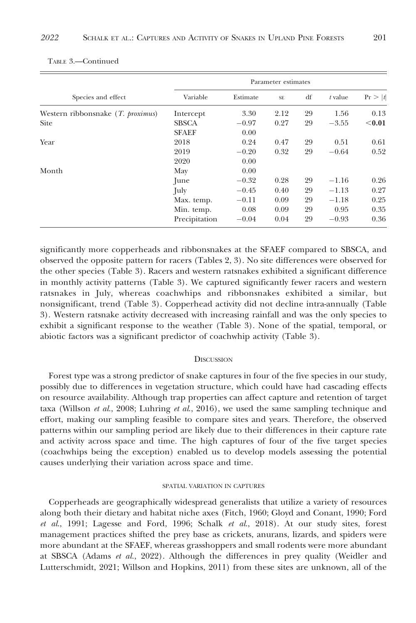|                                     | Parameter estimates |          |           |    |         |         |  |
|-------------------------------------|---------------------|----------|-----------|----|---------|---------|--|
| Species and effect                  | Variable            | Estimate | <b>SE</b> | df | t value | Pr >  t |  |
| Western ribbonsnake $(T.$ proximus) | Intercept           | 3.30     | 2.12      | 29 | 1.56    | 0.13    |  |
| <b>Site</b>                         | <b>SBSCA</b>        | $-0.97$  | 0.27      | 29 | $-3.55$ | $0.01$  |  |
|                                     | <b>SFAEF</b>        | 0.00     |           |    |         |         |  |
| Year                                | 2018                | 0.24     | 0.47      | 29 | 0.51    | 0.61    |  |
|                                     | 2019                | $-0.20$  | 0.32      | 29 | $-0.64$ | 0.52    |  |
|                                     | 2020                | 0.00     |           |    |         |         |  |
| Month                               | May                 | 0.00     |           |    |         |         |  |
|                                     | June                | $-0.32$  | 0.28      | 29 | $-1.16$ | 0.26    |  |
|                                     | July                | $-0.45$  | 0.40      | 29 | $-1.13$ | 0.27    |  |
|                                     | Max. temp.          | $-0.11$  | 0.09      | 29 | $-1.18$ | 0.25    |  |
|                                     | Min. temp.          | 0.08     | 0.09      | 29 | 0.95    | 0.35    |  |
|                                     | Precipitation       | $-0.04$  | 0.04      | 29 | $-0.93$ | 0.36    |  |

TABLE 3.—Continued

significantly more copperheads and ribbonsnakes at the SFAEF compared to SBSCA, and observed the opposite pattern for racers (Tables 2, 3). No site differences were observed for the other species (Table 3). Racers and western ratsnakes exhibited a significant difference in monthly activity patterns (Table 3). We captured significantly fewer racers and western ratsnakes in July, whereas coachwhips and ribbonsnakes exhibited a similar, but nonsignificant, trend (Table 3). Copperhead activity did not decline intra-annually (Table 3). Western ratsnake activity decreased with increasing rainfall and was the only species to exhibit a significant response to the weather (Table 3). None of the spatial, temporal, or abiotic factors was a significant predictor of coachwhip activity (Table 3).

#### **DISCUSSION**

Forest type was a strong predictor of snake captures in four of the five species in our study, possibly due to differences in vegetation structure, which could have had cascading effects on resource availability. Although trap properties can affect capture and retention of target taxa (Willson *et al.*, 2008; Luhring *et al.*, 2016), we used the same sampling technique and effort, making our sampling feasible to compare sites and years. Therefore, the observed patterns within our sampling period are likely due to their differences in their capture rate and activity across space and time. The high captures of four of the five target species (coachwhips being the exception) enabled us to develop models assessing the potential causes underlying their variation across space and time.

## SPATIAL VARIATION IN CAPTURES

Copperheads are geographically widespread generalists that utilize a variety of resources along both their dietary and habitat niche axes (Fitch, 1960; Gloyd and Conant, 1990; Ford et al., 1991; Lagesse and Ford, 1996; Schalk et al., 2018). At our study sites, forest management practices shifted the prey base as crickets, anurans, lizards, and spiders were more abundant at the SFAEF, whereas grasshoppers and small rodents were more abundant at SBSCA (Adams et al., 2022). Although the differences in prey quality (Weidler and Lutterschmidt, 2021; Willson and Hopkins, 2011) from these sites are unknown, all of the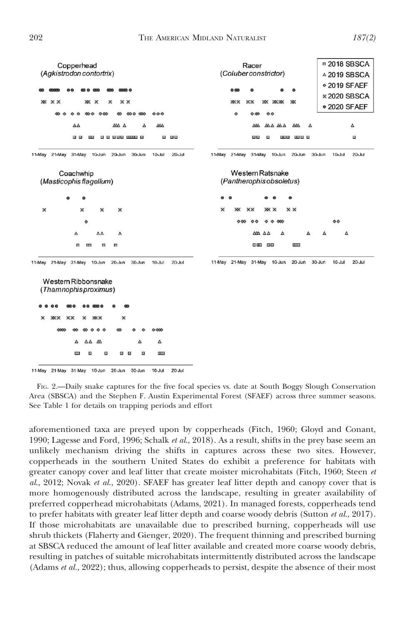

11-May 21-May 31-May 10-Jun 20-Jun 30-Jun 10-Jul  $20 -$ Jul

FIG. 2.—Daily snake captures for the five focal species vs. date at South Boggy Slough Conservation Area (SBSCA) and the Stephen F. Austin Experimental Forest (SFAEF) across three summer seasons. See Table 1 for details on trapping periods and effort

aforementioned taxa are preyed upon by copperheads (Fitch, 1960; Gloyd and Conant, 1990; Lagesse and Ford, 1996; Schalk et al., 2018). As a result, shifts in the prey base seem an unlikely mechanism driving the shifts in captures across these two sites. However, copperheads in the southern United States do exhibit a preference for habitats with greater canopy cover and leaf litter that create moister microhabitats (Fitch, 1960; Steen et al., 2012; Novak et al., 2020). SFAEF has greater leaf litter depth and canopy cover that is more homogenously distributed across the landscape, resulting in greater availability of preferred copperhead microhabitats (Adams, 2021). In managed forests, copperheads tend to prefer habitats with greater leaf litter depth and coarse woody debris (Sutton et al., 2017). If those microhabitats are unavailable due to prescribed burning, copperheads will use shrub thickets (Flaherty and Gienger, 2020). The frequent thinning and prescribed burning at SBSCA reduced the amount of leaf litter available and created more coarse woody debris, resulting in patches of suitable microhabitats intermittently distributed across the landscape (Adams  $et al., 2022$ ); thus, allowing copperheads to persist, despite the absence of their most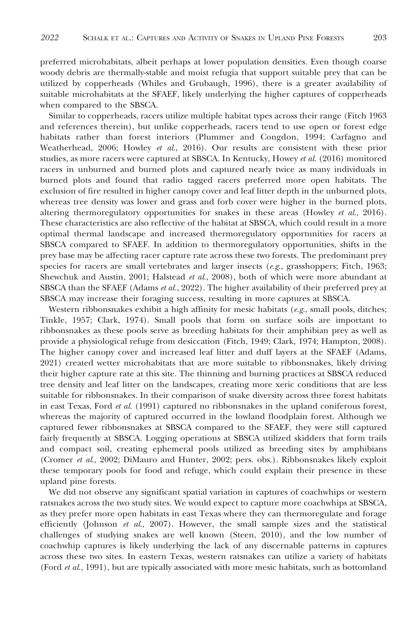preferred microhabitats, albeit perhaps at lower population densities. Even though coarse woody debris are thermally-stable and moist refugia that support suitable prey that can be utilized by copperheads (Whiles and Grubaugh, 1996), there is a greater availability of suitable microhabitats at the SFAEF, likely underlying the higher captures of copperheads when compared to the SBSCA.

Similar to copperheads, racers utilize multiple habitat types across their range (Fitch 1963 and references therein), but unlike copperheads, racers tend to use open or forest edge habitats rather than forest interiors (Plummer and Congdon, 1994; Carfagno and Weatherhead, 2006; Howley et al., 2016). Our results are consistent with these prior studies, as more racers were captured at SBSCA. In Kentucky, Howey et al. (2016) monitored racers in unburned and burned plots and captured nearly twice as many individuals in burned plots and found that radio tagged racers preferred more open habitats. The exclusion of fire resulted in higher canopy cover and leaf litter depth in the unburned plots, whereas tree density was lower and grass and forb cover were higher in the burned plots, altering thermoregulatory opportunities for snakes in these areas (Howley et al., 2016). These characteristics are also reflective of the habitat at SBSCA, which could result in a more optimal thermal landscape and increased thermoregulatory opportunities for racers at SBSCA compared to SFAEF. In addition to thermoregulatory opportunities, shifts in the prey base may be affecting racer capture rate across these two forests. The predominant prey species for racers are small vertebrates and larger insects  $(e.g., grasshoppers; Fitch, 1963;$ Shewchuk and Austin, 2001; Halstead et al., 2008), both of which were more abundant at SBSCA than the SFAEF (Adams et al., 2022). The higher availability of their preferred prey at SBSCA may increase their foraging success, resulting in more captures at SBSCA.

Western ribbonsnakes exhibit a high affinity for mesic habitats ( $e.g.,$  small pools, ditches; Tinkle, 1957; Clark, 1974). Small pools that form on surface soils are important to ribbonsnakes as these pools serve as breeding habitats for their amphibian prey as well as provide a physiological refuge from desiccation (Fitch, 1949; Clark, 1974; Hampton, 2008). The higher canopy cover and increased leaf litter and duff layers at the SFAEF (Adams, 2021) created wetter microhabitats that are more suitable to ribbonsnakes, likely driving their higher capture rate at this site. The thinning and burning practices at SBSCA reduced tree density and leaf litter on the landscapes, creating more xeric conditions that are less suitable for ribbonsnakes. In their comparison of snake diversity across three forest habitats in east Texas, Ford et al. (1991) captured no ribbonsnakes in the upland coniferous forest, whereas the majority of captured occurred in the lowland floodplain forest. Although we captured fewer ribbonsnakes at SBSCA compared to the SFAEF, they were still captured fairly frequently at SBSCA. Logging operations at SBSCA utilized skidders that form trails and compact soil, creating ephemeral pools utilized as breeding sites by amphibians (Cromer et al., 2002; DiMauro and Hunter, 2002; pers. obs.). Ribbonsnakes likely exploit these temporary pools for food and refuge, which could explain their presence in these upland pine forests.

We did not observe any significant spatial variation in captures of coachwhips or western ratsnakes across the two study sites. We would expect to capture more coachwhips at SBSCA, as they prefer more open habitats in east Texas where they can thermoregulate and forage efficiently (Johnson *et al.*, 2007). However, the small sample sizes and the statistical challenges of studying snakes are well known (Steen, 2010), and the low number of coachwhip captures is likely underlying the lack of any discernable patterns in captures across these two sites. In eastern Texas, western ratsnakes can utilize a variety of habitats (Ford et al., 1991), but are typically associated with more mesic habitats, such as bottomland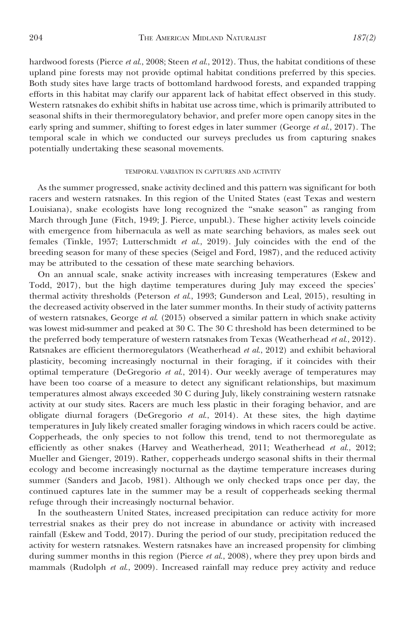hardwood forests (Pierce et al., 2008; Steen et al., 2012). Thus, the habitat conditions of these upland pine forests may not provide optimal habitat conditions preferred by this species. Both study sites have large tracts of bottomland hardwood forests, and expanded trapping efforts in this habitat may clarify our apparent lack of habitat effect observed in this study. Western ratsnakes do exhibit shifts in habitat use across time, which is primarily attributed to seasonal shifts in their thermoregulatory behavior, and prefer more open canopy sites in the early spring and summer, shifting to forest edges in later summer (George et al., 2017). The temporal scale in which we conducted our surveys precludes us from capturing snakes potentially undertaking these seasonal movements.

## TEMPORAL VARIATION IN CAPTURES AND ACTIVITY

As the summer progressed, snake activity declined and this pattern was significant for both racers and western ratsnakes. In this region of the United States (east Texas and western Louisiana), snake ecologists have long recognized the ''snake season'' as ranging from March through June (Fitch, 1949; J. Pierce, unpubl.). These higher activity levels coincide with emergence from hibernacula as well as mate searching behaviors, as males seek out females (Tinkle, 1957; Lutterschmidt et al., 2019). July coincides with the end of the breeding season for many of these species (Seigel and Ford, 1987), and the reduced activity may be attributed to the cessation of these mate searching behaviors.

On an annual scale, snake activity increases with increasing temperatures (Eskew and Todd, 2017), but the high daytime temperatures during July may exceed the species' thermal activity thresholds (Peterson et al., 1993; Gunderson and Leal, 2015), resulting in the decreased activity observed in the later summer months. In their study of activity patterns of western ratsnakes, George et al. (2015) observed a similar pattern in which snake activity was lowest mid-summer and peaked at 30 C. The 30 C threshold has been determined to be the preferred body temperature of western ratsnakes from Texas (Weatherhead et al., 2012). Ratsnakes are efficient thermoregulators (Weatherhead et al., 2012) and exhibit behavioral plasticity, becoming increasingly nocturnal in their foraging, if it coincides with their optimal temperature (DeGregorio  $et$  al., 2014). Our weekly average of temperatures may have been too coarse of a measure to detect any significant relationships, but maximum temperatures almost always exceeded 30 C during July, likely constraining western ratsnake activity at our study sites. Racers are much less plastic in their foraging behavior, and are obligate diurnal foragers (DeGregorio et  $al$ , 2014). At these sites, the high daytime temperatures in July likely created smaller foraging windows in which racers could be active. Copperheads, the only species to not follow this trend, tend to not thermoregulate as efficiently as other snakes (Harvey and Weatherhead, 2011; Weatherhead et al., 2012; Mueller and Gienger, 2019). Rather, copperheads undergo seasonal shifts in their thermal ecology and become increasingly nocturnal as the daytime temperature increases during summer (Sanders and Jacob, 1981). Although we only checked traps once per day, the continued captures late in the summer may be a result of copperheads seeking thermal refuge through their increasingly nocturnal behavior.

In the southeastern United States, increased precipitation can reduce activity for more terrestrial snakes as their prey do not increase in abundance or activity with increased rainfall (Eskew and Todd, 2017). During the period of our study, precipitation reduced the activity for western ratsnakes. Western ratsnakes have an increased propensity for climbing during summer months in this region (Pierce *et al.*, 2008), where they prey upon birds and mammals (Rudolph et al., 2009). Increased rainfall may reduce prey activity and reduce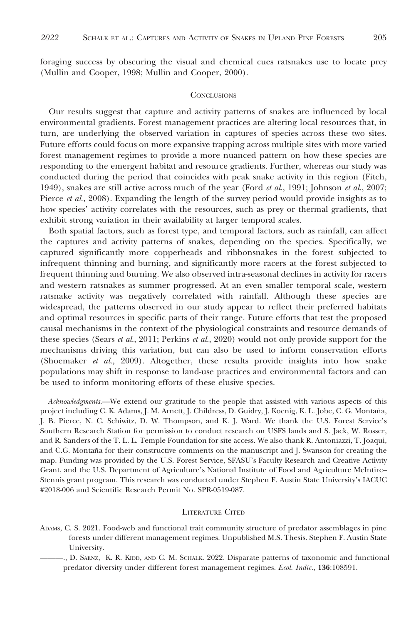foraging success by obscuring the visual and chemical cues ratsnakes use to locate prey (Mullin and Cooper, 1998; Mullin and Cooper, 2000).

#### **CONCLUSIONS**

Our results suggest that capture and activity patterns of snakes are influenced by local environmental gradients. Forest management practices are altering local resources that, in turn, are underlying the observed variation in captures of species across these two sites. Future efforts could focus on more expansive trapping across multiple sites with more varied forest management regimes to provide a more nuanced pattern on how these species are responding to the emergent habitat and resource gradients. Further, whereas our study was conducted during the period that coincides with peak snake activity in this region (Fitch, 1949), snakes are still active across much of the year (Ford et al., 1991; Johnson et al., 2007; Pierce et al., 2008). Expanding the length of the survey period would provide insights as to how species' activity correlates with the resources, such as prey or thermal gradients, that exhibit strong variation in their availability at larger temporal scales.

Both spatial factors, such as forest type, and temporal factors, such as rainfall, can affect the captures and activity patterns of snakes, depending on the species. Specifically, we captured significantly more copperheads and ribbonsnakes in the forest subjected to infrequent thinning and burning, and significantly more racers at the forest subjected to frequent thinning and burning. We also observed intra-seasonal declines in activity for racers and western ratsnakes as summer progressed. At an even smaller temporal scale, western ratsnake activity was negatively correlated with rainfall. Although these species are widespread, the patterns observed in our study appear to reflect their preferred habitats and optimal resources in specific parts of their range. Future efforts that test the proposed causal mechanisms in the context of the physiological constraints and resource demands of these species (Sears et al., 2011; Perkins et al., 2020) would not only provide support for the mechanisms driving this variation, but can also be used to inform conservation efforts (Shoemaker et al., 2009). Altogether, these results provide insights into how snake populations may shift in response to land-use practices and environmental factors and can be used to inform monitoring efforts of these elusive species.

Acknowledgments.—We extend our gratitude to the people that assisted with various aspects of this project including C. K. Adams, J. M. Arnett, J. Childress, D. Guidry, J. Koenig, K. L. Jobe, C. G. Montaña, J. B. Pierce, N. C. Schiwitz, D. W. Thompson, and K. J. Ward. We thank the U.S. Forest Service's Southern Research Station for permission to conduct research on USFS lands and S. Jack, W. Rosser, and R. Sanders of the T. L. L. Temple Foundation for site access. We also thank R. Antoniazzi, T. Joaqui, and C.G. Montaña for their constructive comments on the manuscript and J. Swanson for creating the map. Funding was provided by the U.S. Forest Service, SFASU's Faculty Research and Creative Activity Grant, and the U.S. Department of Agriculture's National Institute of Food and Agriculture McIntire– Stennis grant program. This research was conducted under Stephen F. Austin State University's IACUC #2018-006 and Scientific Research Permit No. SPR-0519-087.

## LITERATURE CITED

ADAMS, C. S. 2021. Food-web and functional trait community structure of predator assemblages in pine forests under different management regimes. Unpublished M.S. Thesis. Stephen F. Austin State University.

<sup>———.,</sup> D. SAENZ, K. R. KIDD, AND C. M. SCHALK. 2022. Disparate patterns of taxonomic and functional predator diversity under different forest management regimes. Ecol. Indic., 136:108591.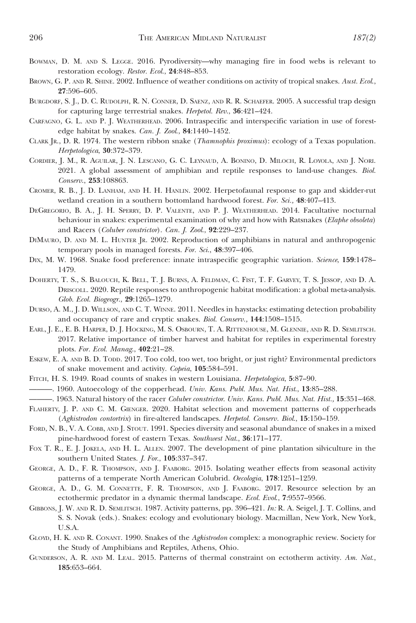- BOWMAN, D. M. AND S. LEGGE. 2016. Pyrodiversity—why managing fire in food webs is relevant to restoration ecology. Restor. Ecol., 24:848–853.
- BROWN, G. P. AND R. SHINE. 2002. Influence of weather conditions on activity of tropical snakes. Aust. Ecol., 27:596–605.
- BURGDORF, S. J., D. C. RUDOLPH, R. N. CONNER, D. SAENZ, AND R. R. SCHAEFER. 2005. A successful trap design for capturing large terrestrial snakes. Herpetol. Rev., 36:421–424.
- CARFAGNO, G. L. AND P. J. WEATHERHEAD. 2006. Intraspecific and interspecific variation in use of forestedge habitat by snakes. Can. J. Zool., 84:1440–1452.
- CLARK JR., D. R. 1974. The western ribbon snake (Thamnophis proximus): ecology of a Texas population. Herpetologica, 30:372–379.
- CORDIER, J. M., R. AGUILAR, J. N. LESCANO, G. C. LEYNAUD, A. BONINO, D. MILOCH, R. LOYOLA, AND J. NORI. 2021. A global assessment of amphibian and reptile responses to land-use changes. Biol. Conserv., 253:108863.
- CROMER, R. B., J. D. LANHAM, AND H. H. HANLIN. 2002. Herpetofaunal response to gap and skidder-rut wetland creation in a southern bottomland hardwood forest. For. Sci., 48:407-413.
- DEGREGORIO, B. A., J. H. SPERRY, D. P. VALENTE, AND P. J. WEATHERHEAD. 2014. Facultative nocturnal behaviour in snakes: experimental examination of why and how with Ratsnakes (Elaphe obsoleta) and Racers (Coluber constrictor). Can. J. Zool., 92:229–237.
- DIMAURO, D. AND M. L. HUNTER JR. 2002. Reproduction of amphibians in natural and anthropogenic temporary pools in managed forests. For. Sci., 48:397–406.
- DIX, M. W. 1968. Snake food preference: innate intraspecific geographic variation. Science, 159:1478-1479.
- DOHERTY, T. S., S. BALOUCH, K. BELL, T. J. BURNS, A. FELDMAN, C. FIST, T. F. GARVEY, T. S. JESSOP, AND D. A. DRISCOLL. 2020. Reptile responses to anthropogenic habitat modification: a global meta-analysis. Glob. Ecol. Biogeogr., 29:1265–1279.
- DURSO, A. M., J. D. WILLSON, AND C. T. WINNE. 2011. Needles in haystacks: estimating detection probability and occupancy of rare and cryptic snakes. Biol. Conserv., 144:1508–1515.
- EARL, J. E., E. B. HARPER, D. J. HOCKING, M. S. OSBOURN, T. A. RITTENHOUSE, M. GLENNIE, AND R. D. SEMLITSCH. 2017. Relative importance of timber harvest and habitat for reptiles in experimental forestry plots. For. Ecol. Manag., 402:21–28.
- ESKEW, E. A. AND B. D. TODD. 2017. Too cold, too wet, too bright, or just right? Environmental predictors of snake movement and activity. Copeia, 105:584–591.
- FITCH, H. S. 1949. Road counts of snakes in western Louisiana. Herpetologica, 5:87–90.
- -. 1960. Autoecology of the copperhead. Univ. Kans. Publ. Mus. Nat. Hist., 13:85-288.
- ———. 1963. Natural history of the racer Coluber constrictor. Univ. Kans. Publ. Mus. Nat. Hist., 15:351–468.
- FLAHERTY, J. P. AND C. M. GIENGER. 2020. Habitat selection and movement patterns of copperheads (Agkistrodon contortrix) in fire-altered landscapes. Herpetol. Conserv. Biol., 15:150–159.
- FORD, N. B., V. A. COBB, AND J. STOUT. 1991. Species diversity and seasonal abundance of snakes in a mixed pine-hardwood forest of eastern Texas. Southwest Nat., 36:171–177.
- FOX T. R., E. J. JOKELA, AND H. L. ALLEN. 2007. The development of pine plantation silviculture in the southern United States. J. For., 105:337–347.
- GEORGE, A. D., F. R. THOMPSON, AND J. FAABORG. 2015. Isolating weather effects from seasonal activity patterns of a temperate North American Colubrid. Oecologia, 178:1251–1259.
- GEORGE, A. D., G. M. CONNETTE, F. R. THOMPSON, AND J. FAABORG. 2017. Resource selection by an ectothermic predator in a dynamic thermal landscape. Ecol. Evol., 7:9557–9566.
- GIBBONS, J. W. AND R. D. SEMLITSCH. 1987. Activity patterns, pp. 396–421. In: R. A. Seigel, J. T. Collins, and S. S. Novak (eds.). Snakes: ecology and evolutionary biology. Macmillan, New York, New York, U.S.A.
- GLOYD, H. K. AND R. CONANT. 1990. Snakes of the Agkistrodon complex: a monographic review. Society for the Study of Amphibians and Reptiles, Athens, Ohio.
- GUNDERSON, A. R. AND M. LEAL. 2015. Patterns of thermal constraint on ectotherm activity. Am. Nat., 185:653–664.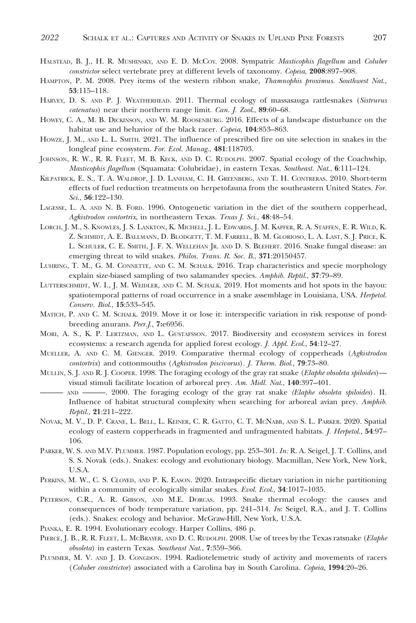- HALSTEAD, B. J., H. R. MUSHINSKY, AND E. D. MCCOY. 2008. Sympatric Masticophis flagellum and Coluber constrictor select vertebrate prey at different levels of taxonomy. Copeia, 2008:897-908.
- HAMPTON, P. M. 2008. Prey items of the western ribbon snake, Thamnophis proximus. Southwest Nat., 53:115–118.
- HARVEY, D. S. AND P. J. WEATHERHEAD. 2011. Thermal ecology of massasauga rattlesnakes (Sistrurus catenatus) near their northern range limit. Can. J. Zool., 89:60–68.
- HOWEY, C. A., M. B. DICKINSON, AND W. M. ROOSENBURG. 2016. Effects of a landscape disturbance on the habitat use and behavior of the black racer. Copeia, 104:853–863.
- HOWZE, J. M., AND L. L. SMITH. 2021. The influence of prescribed fire on site selection in snakes in the longleaf pine ecosystem. For. Ecol. Manag., 481:118703.
- JOHNSON, R. W., R. R. FLEET, M. B. KECK, AND D. C. RUDOLPH. 2007. Spatial ecology of the Coachwhip, Masticophis flagellum (Squamata: Colubridae), in eastern Texas. Southeast. Nat., 6:111-124.
- KILPATRICK, E. S., T. A. WALDROP, J. D. LANHAM, C. H. GREENBERG, AND T. H. CONTRERAS. 2010. Short-term effects of fuel reduction treatments on herpetofauna from the southeastern United States. For. Sci., 56:122–130.
- LAGESSE, L. A. AND N. B. FORD. 1996. Ontogenetic variation in the diet of the southern copperhead, Agkistrodon contortrix, in northeastern Texas. Texas J. Sci., 48:48–54.
- LORCH, J. M., S. KNOWLES, J. S. LANKTON, K. MICHELL, J. L. EDWARDS, J. M. KAPFER, R. A. STAFFEN, E. R. WILD, K. Z. SCHMIDT, A. E. BALLMANN, D. BLODGETT, T. M. FARRELL, B. M. GLORIOSO, L. A. LAST, S. J. PRICE, K. L. SCHULER, C. E. SMITH, J. F. X. WELLEHAN JR. AND D. S. BLEHERT. 2016. Snake fungal disease: an emerging threat to wild snakes. Philos. Trans. R. Soc. B., 371:20150457.
- LUHRING, T. M., G. M. CONNETTE, AND C. M. SCHALK. 2016. Trap characteristics and specie morphology explain size-biased sampling of two salamander species. Amphib. Reptil., 37:79–89.
- LUTTERSCHMIDT, W. I., J. M. WEIDLER, AND C. M. SCHALK. 2019. Hot moments and hot spots in the bayou: spatiotemporal patterns of road occurrence in a snake assemblage in Louisiana, USA. Herpetol. Conserv. Biol., 15:533–545.
- MATICH, P. AND C. M. SCHALK. 2019. Move it or lose it: interspecific variation in risk response of pondbreeding anurans. Peer.J., 7:e6956.
- MORI, A. S., K. P. LERTZMAN, AND L. GUSTAFSSON. 2017. Biodiversity and ecosystem services in forest ecosystems: a research agenda for applied forest ecology. J. Appl. Ecol., 54:12–27.
- MUELLER, A. AND C. M. GIENGER. 2019. Comparative thermal ecology of copperheads (Agkistrodon contortrix) and cottonmouths (Agkistrodon piscivorus). J. Therm. Biol., 79:73–80.
- MULLIN, S. J. AND R. J. COOPER. 1998. The foraging ecology of the gray rat snake (Elaphe obsoleta spiloides) visual stimuli facilitate location of arboreal prey. Am. Midl. Nat., 140:397–401.
- AND ———. 2000. The foraging ecology of the gray rat snake (Elaphe obsoleta spiloides). II. Influence of habitat structural complexity when searching for arboreal avian prey. Amphib. Reptil., 21:211–222.
- NOVAK, M. V., D. P. CRANE, L. BELL, L. KEINER, C. R. GATTO, C. T. MCNABB, AND S. L. PARKER. 2020. Spatial ecology of eastern copperheads in fragmented and unfragmented habitats. *J. Herpetol.*, 54:97-106.
- PARKER, W. S. AND M.V. PLUMMER. 1987. Population ecology, pp. 253–301. In: R. A. Seigel, J. T. Collins, and S. S. Novak (eds.). Snakes: ecology and evolutionary biology. Macmillan, New York, New York, U.S.A.
- PERKINS, M. W., C. S. CLOYED, AND P. K. EASON. 2020. Intraspecific dietary variation in niche partitioning within a community of ecologically similar snakes. Evol. Ecol., 34:1017-1035.
- PETERSON, C.R., A. R. GIBSON, AND M.E. DORCAS. 1993. Snake thermal ecology: the causes and consequences of body temperature variation, pp. 241–314. In: Seigel, R.A., and J. T. Collins (eds.). Snakes: ecology and behavior. McGraw-Hill, New York, U.S.A.
- PIANKA, E. R. 1994. Evolutionary ecology. Harper Collins, 486 p.
- PIERCE, J. B., R. R. FLEET, L. MCBRAYER, AND D. C. RUDOLPH. 2008. Use of trees by the Texas ratsnake (Elaphe obsoleta) in eastern Texas. Southeast Nat., 7:359–366.
- PLUMMER, M. V. AND J. D. CONGDON. 1994. Radiotelemetric study of activity and movements of racers (Coluber constrictor) associated with a Carolina bay in South Carolina. Copeia, 1994:20–26.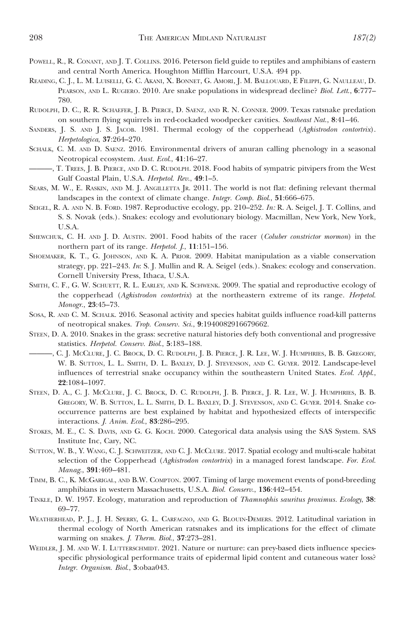- POWELL, R., R. CONANT, AND J. T. COLLINS. 2016. Peterson field guide to reptiles and amphibians of eastern and central North America. Houghton Mifflin Harcourt, U.S.A. 494 pp.
- READING, C. J., L. M. LUISELLI, G. C. AKANI, X. BONNET, G. AMORI, J. M. BALLOUARD,EFILIPPI, G. NAULLEAU, D. PEARSON, AND L. RUGIERO. 2010. Are snake populations in widespread decline? Biol. Lett., 6:777-780.
- RUDOLPH, D. C., R. R. SCHAEFER, J. B. PIERCE, D. SAENZ, AND R. N. CONNER. 2009. Texas ratsnake predation on southern flying squirrels in red-cockaded woodpecker cavities. Southeast Nat., 8:41–46.
- SANDERS, J. S. AND J. S. JACOB. 1981. Thermal ecology of the copperhead (Agkistrodon contortrix). Herpetologica, 37:264–270.
- SCHALK, C. M. AND D. SAENZ. 2016. Environmental drivers of anuran calling phenology in a seasonal Neotropical ecosystem. Aust. Ecol., 41:16–27.
- ———, T. TREES, J. B. PIERCE, AND D. C. RUDOLPH. 2018. Food habits of sympatric pitvipers from the West Gulf Coastal Plain, U.S.A. Herpetol. Rev., 49:1–5.
- SEARS, M. W., E. RASKIN, AND M. J. ANGILLETTA JR. 2011. The world is not flat: defining relevant thermal landscapes in the context of climate change. Integr. Comp. Biol., 51:666–675.
- SEIGEL, R. A. AND N. B. FORD. 1987. Reproductive ecology, pp. 210–252. In: R. A. Seigel, J. T. Collins, and S. S. Novak (eds.). Snakes: ecology and evolutionary biology. Macmillan, New York, New York, U.S.A.
- SHEWCHUK, C. H. AND J. D. AUSTIN. 2001. Food habits of the racer (Coluber constrictor mormon) in the northern part of its range. Herpetol. J., 11:151–156.
- SHOEMAKER, K. T., G. JOHNSON, AND K. A. PRIOR. 2009. Habitat manipulation as a viable conservation strategy, pp. 221–243. In: S. J. Mullin and R. A. Seigel (eds.). Snakes: ecology and conservation. Cornell University Press, Ithaca, U.S.A.
- SMITH, C. F., G. W. SCHUETT, R. L. EARLEY, AND K. SCHWENK. 2009. The spatial and reproductive ecology of the copperhead (Agkistrodon contortrix) at the northeastern extreme of its range. Herpetol. Monogr., 23:45–73.
- SOSA, R. AND C. M. SCHALK. 2016. Seasonal activity and species habitat guilds influence road-kill patterns of neotropical snakes. Trop. Conserv. Sci., 9:1940082916679662.
- STEEN, D. A. 2010. Snakes in the grass: secretive natural histories defy both conventional and progressive statistics. Herpetol. Conserv. Biol., 5:183–188.
- ———, C. J. MCCLURE, J. C. BROCK, D. C. RUDOLPH, J. B. PIERCE, J. R. LEE, W. J. HUMPHRIES, B. B. GREGORY, W. B. SUTTON, L. L. SMITH, D. L. BAXLEY, D. J. STEVENSON, AND C. GUYER. 2012. Landscape-level influences of terrestrial snake occupancy within the southeastern United States. Ecol. Appl., 22:1084–1097.
- STEEN, D. A., C. J. MCCLURE, J. C. BROCK, D. C. RUDOLPH, J. B. PIERCE, J. R. LEE, W. J. HUMPHRIES, B. B. GREGORY, W. B. SUTTON, L. L. SMITH, D. L. BAXLEY, D. J. STEVENSON, AND C. GUYER. 2014. Snake cooccurrence patterns are best explained by habitat and hypothesized effects of interspecific interactions. J. Anim. Ecol., 83:286–295.
- STOKES, M. E., C. S. DAVIS, AND G. G. KOCH. 2000. Categorical data analysis using the SAS System. SAS Institute Inc, Cary, NC.
- SUTTON, W. B., Y. WANG, C. J. SCHWEITZER, AND C. J. MCCLURE. 2017. Spatial ecology and multi-scale habitat selection of the Copperhead (Agkistrodon contortrix) in a managed forest landscape. For. Ecol. Manag., 391:469–481.
- TIMM, B. C., K. MCGARIGAL, AND B.W. COMPTON. 2007. Timing of large movement events of pond-breeding amphibians in western Massachusetts, U.S.A. Biol. Conserv., 136:442–454.
- TINKLE, D. W. 1957. Ecology, maturation and reproduction of Thamnophis sauritus proximus. Ecology, 38: 69–77.
- WEATHERHEAD, P. J., J. H. SPERRY, G. L. CARFAGNO, AND G. BLOUIN-DEMERS. 2012. Latitudinal variation in thermal ecology of North American ratsnakes and its implications for the effect of climate warming on snakes. J. Therm. Biol., 37:273–281.
- WEIDLER, J. M. AND W. I. LUTTERSCHMIDT. 2021. Nature or nurture: can prey-based diets influence speciesspecific physiological performance traits of epidermal lipid content and cutaneous water loss? Integr. Organism. Biol., 3:obaa043.